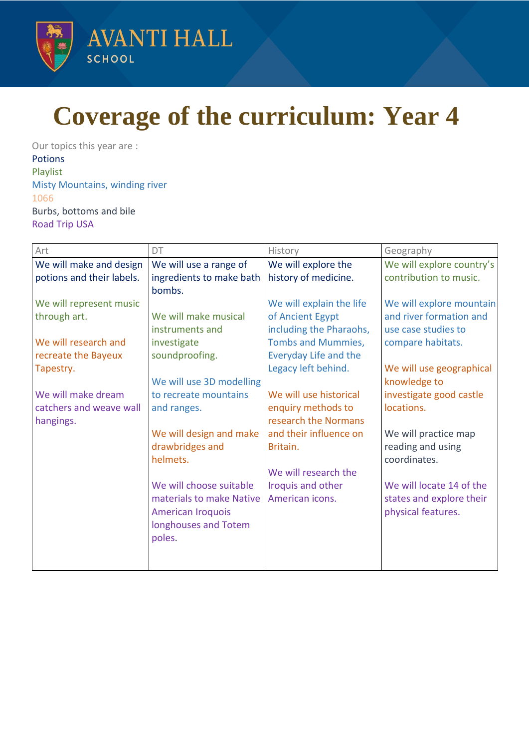

## **Coverage of the curriculum: Year 4**

Our topics this year are : Potions Playlist Misty Mountains, winding river 1066 Burbs, bottoms and bile Road Trip USA

| Art                       | DT                       | History                   | Geography                 |
|---------------------------|--------------------------|---------------------------|---------------------------|
| We will make and design   | We will use a range of   | We will explore the       | We will explore country's |
| potions and their labels. | ingredients to make bath | history of medicine.      | contribution to music.    |
|                           | bombs.                   |                           |                           |
| We will represent music   |                          | We will explain the life  | We will explore mountain  |
| through art.              | We will make musical     | of Ancient Egypt          | and river formation and   |
|                           | instruments and          | including the Pharaohs,   | use case studies to       |
| We will research and      | investigate              | <b>Tombs and Mummies,</b> | compare habitats.         |
| recreate the Bayeux       | soundproofing.           | Everyday Life and the     |                           |
| Tapestry.                 |                          | Legacy left behind.       | We will use geographical  |
|                           | We will use 3D modelling |                           | knowledge to              |
| We will make dream        | to recreate mountains    | We will use historical    | investigate good castle   |
| catchers and weave wall   | and ranges.              | enquiry methods to        | locations.                |
| hangings.                 |                          | research the Normans      |                           |
|                           | We will design and make  | and their influence on    | We will practice map      |
|                           | drawbridges and          | Britain.                  | reading and using         |
|                           | helmets.                 |                           | coordinates.              |
|                           |                          | We will research the      |                           |
|                           | We will choose suitable  | Iroquis and other         | We will locate 14 of the  |
|                           | materials to make Native | American icons.           | states and explore their  |
|                           | <b>American Iroquois</b> |                           | physical features.        |
|                           | longhouses and Totem     |                           |                           |
|                           | poles.                   |                           |                           |
|                           |                          |                           |                           |
|                           |                          |                           |                           |